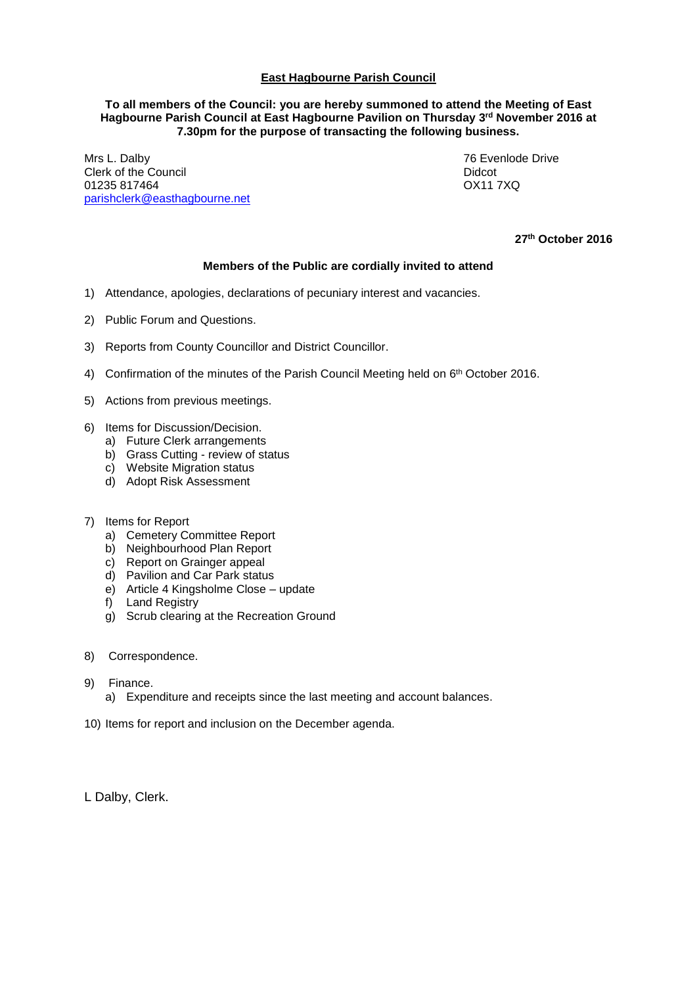## **East Hagbourne Parish Council**

## **To all members of the Council: you are hereby summoned to attend the Meeting of East Hagbourne Parish Council at East Hagbourne Pavilion on Thursday 3 rd November 2016 at 7.30pm for the purpose of transacting the following business.**

Mrs L. Dalby 76 Evenlode Drive Clerk of the Council<br>
01235 817464<br>
0211 7XQ 01235 817464 [parishclerk@easthagbourne.net](mailto:parishclerk@easthagbourne.net)

**27th October 2016**

## **Members of the Public are cordially invited to attend**

- 1) Attendance, apologies, declarations of pecuniary interest and vacancies.
- 2) Public Forum and Questions.
- 3) Reports from County Councillor and District Councillor.
- 4) Confirmation of the minutes of the Parish Council Meeting held on  $6<sup>th</sup>$  October 2016.
- 5) Actions from previous meetings.
- 6) Items for Discussion/Decision.
	- a) Future Clerk arrangements
	- b) Grass Cutting review of status
	- c) Website Migration status
	- d) Adopt Risk Assessment
- 7) Items for Report
	- a) Cemetery Committee Report
	- b) Neighbourhood Plan Report
	- c) Report on Grainger appeal
	- d) Pavilion and Car Park status
	- e) Article 4 Kingsholme Close update
	- f) Land Registry
	- g) Scrub clearing at the Recreation Ground
- 8) Correspondence.
- 9) Finance.
	- a) Expenditure and receipts since the last meeting and account balances.
- 10) Items for report and inclusion on the December agenda.

L Dalby, Clerk.